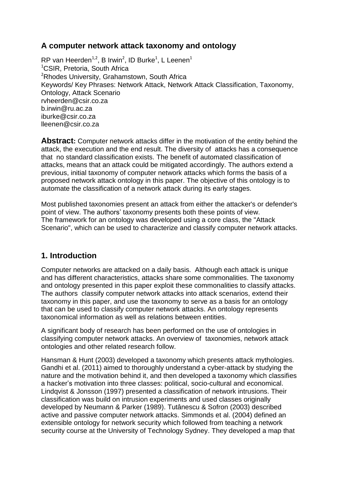## **A computer network attack taxonomy and ontology**

 $RP$  van Heerden<sup>1,2</sup>, B Irwin<sup>2</sup>, ID Burke<sup>1</sup>, L Leenen<sup>1</sup> <sup>1</sup>CSIR, Pretoria, South Africa <sup>2</sup>Rhodes University, Grahamstown, South Africa Keywords/ Key Phrases: Network Attack, Network Attack Classification, Taxonomy, Ontology, Attack Scenario rvheerden@csir.co.za b.irwin@ru.ac.za iburke@csir.co.za lleenen@csir.co.za

**Abstract:** Computer network attacks differ in the motivation of the entity behind the attack, the execution and the end result. The diversity of attacks has a consequence that no standard classification exists. The benefit of automated classification of attacks, means that an attack could be mitigated accordingly. The authors extend a previous, initial taxonomy of computer network attacks which forms the basis of a proposed network attack ontology in this paper. The objective of this ontology is to automate the classification of a network attack during its early stages.

Most published taxonomies present an attack from either the attacker's or defender's point of view. The authors' taxonomy presents both these points of view. The framework for an ontology was developed using a core class, the "Attack Scenario", which can be used to characterize and classify computer network attacks.

## **1. Introduction**

Computer networks are attacked on a daily basis. Although each attack is unique and has different characteristics, attacks share some commonalities. The taxonomy and ontology presented in this paper exploit these commonalities to classify attacks. The authors classify computer network attacks into attack scenarios, extend their taxonomy in this paper, and use the taxonomy to serve as a basis for an ontology that can be used to classify computer network attacks. An ontology represents taxonomical information as well as relations between entities.

A significant body of research has been performed on the use of ontologies in classifying computer network attacks. An overview of taxonomies, network attack ontologies and other related research follow.

Hansman & Hunt (2003) developed a taxonomy which presents attack mythologies. Gandhi et al. (2011) aimed to thoroughly understand a cyber-attack by studying the nature and the motivation behind it, and then developed a taxonomy which classifies a hacker's motivation into three classes: political, socio-cultural and economical. Lindqvist & Jonsson (1997) presented a classification of network intrusions. Their classification was build on intrusion experiments and used classes originally developed by Neumann & Parker (1989). Tutânescu & Sofron (2003) described active and passive computer network attacks. Simmonds et al. (2004) defined an extensible ontology for network security which followed from teaching a network security course at the University of Technology Sydney. They developed a map that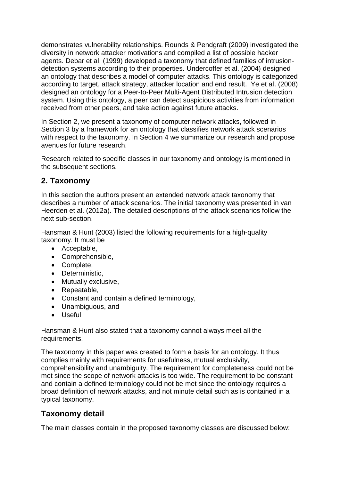demonstrates vulnerability relationships. Rounds & Pendgraft (2009) investigated the diversity in network attacker motivations and compiled a list of possible hacker agents. Debar et al. (1999) developed a taxonomy that defined families of intrusiondetection systems according to their properties. Undercoffer et al. (2004) designed an ontology that describes a model of computer attacks. This ontology is categorized according to target, attack strategy, attacker location and end result. Ye et al. (2008) designed an ontology for a Peer-to-Peer Multi-Agent Distributed Intrusion detection system. Using this ontology, a peer can detect suspicious activities from information received from other peers, and take action against future attacks.

In Section 2, we present a taxonomy of computer network attacks, followed in Section 3 by a framework for an ontology that classifies network attack scenarios with respect to the taxonomy. In Section 4 we summarize our research and propose avenues for future research.

Research related to specific classes in our taxonomy and ontology is mentioned in the subsequent sections.

# **2. Taxonomy**

In this section the authors present an extended network attack taxonomy that describes a number of attack scenarios. The initial taxonomy was presented in van Heerden et al. (2012a). The detailed descriptions of the attack scenarios follow the next sub-section.

Hansman & Hunt (2003) listed the following requirements for a high-quality taxonomy. It must be

- Acceptable,
- Comprehensible,
- Complete,
- Deterministic.
- Mutually exclusive,
- Repeatable,
- Constant and contain a defined terminology,
- Unambiguous, and
- Useful

Hansman & Hunt also stated that a taxonomy cannot always meet all the requirements.

The taxonomy in this paper was created to form a basis for an ontology. It thus complies mainly with requirements for usefulness, mutual exclusivity, comprehensibility and unambiguity. The requirement for completeness could not be met since the scope of network attacks is too wide. The requirement to be constant and contain a defined terminology could not be met since the ontology requires a broad definition of network attacks, and not minute detail such as is contained in a typical taxonomy.

# **Taxonomy detail**

The main classes contain in the proposed taxonomy classes are discussed below: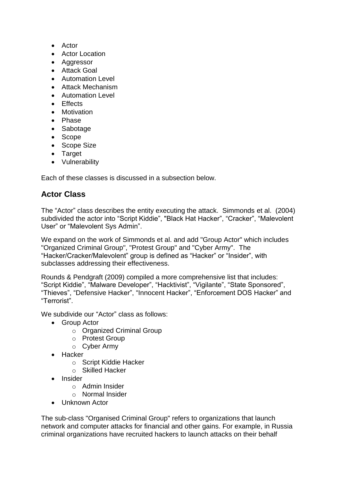- Actor
- Actor Location
- Aggressor
- Attack Goal
- Automation Level
- Attack Mechanism
- Automation Level
- **Effects**
- Motivation
- Phase
- Sabotage
- Scope
- Scope Size
- Target
- Vulnerability

Each of these classes is discussed in a subsection below.

# **Actor Class**

The "Actor" class describes the entity executing the attack. Simmonds et al. (2004) subdivided the actor into "Script Kiddie", "Black Hat Hacker", "Cracker", "Malevolent User" or "Malevolent Sys Admin".

We expand on the work of Simmonds et al. and add "Group Actor" which includes "Organized Criminal Group", "Protest Group" and "Cyber Army". The "Hacker/Cracker/Malevolent" group is defined as "Hacker" or "Insider", with subclasses addressing their effectiveness.

Rounds & Pendgraft (2009) compiled a more comprehensive list that includes: "Script Kiddie", "Malware Developer", "Hacktivist", "Vigilante", "State Sponsored", "Thieves", "Defensive Hacker", "Innocent Hacker", "Enforcement DOS Hacker" and "Terrorist".

We subdivide our "Actor" class as follows:

- Group Actor
	- o Organized Criminal Group
	- o Protest Group
	- o Cyber Army
- Hacker
	- o Script Kiddie Hacker
	- o Skilled Hacker
- Insider
	- o Admin Insider
	- o Normal Insider
- Unknown Actor

The sub-class "Organised Criminal Group" refers to organizations that launch network and computer attacks for financial and other gains. For example, in Russia criminal organizations have recruited hackers to launch attacks on their behalf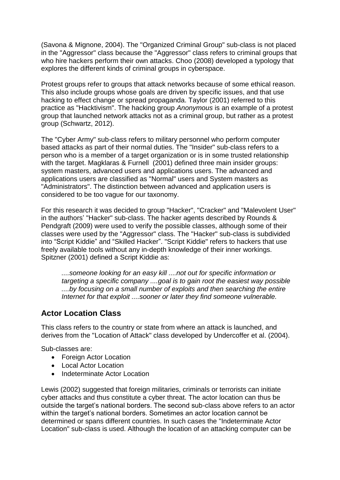(Savona & Mignone, 2004). The "Organized Criminal Group" sub-class is not placed in the "Aggressor" class because the "Aggressor" class refers to criminal groups that who hire hackers perform their own attacks. Choo (2008) developed a typology that explores the different kinds of criminal groups in cyberspace.

Protest groups refer to groups that attack networks because of some ethical reason. This also include groups whose goals are driven by specific issues, and that use hacking to effect change or spread propaganda. Taylor (2001) referred to this practice as "Hacktivism". The hacking group *Anonymous* is an example of a protest group that launched network attacks not as a criminal group, but rather as a protest group (Schwartz, 2012).

The "Cyber Army" sub-class refers to military personnel who perform computer based attacks as part of their normal duties. The "Insider" sub-class refers to a person who is a member of a target organization or is in some trusted relationship with the target. Magklaras & Furnell (2001) defined three main insider groups: system masters, advanced users and applications users. The advanced and applications users are classified as "Normal" users and System masters as "Administrators". The distinction between advanced and application users is considered to be too vague for our taxonomy.

For this research it was decided to group "Hacker", "Cracker" and "Malevolent User" in the authors' "Hacker" sub-class. The hacker agents described by Rounds & Pendgraft (2009) were used to verify the possible classes, although some of their classes were used by the "Aggressor" class. The "Hacker" sub-class is subdivided into "Script Kiddie" and "Skilled Hacker". "Script Kiddie" refers to hackers that use freely available tools without any in-depth knowledge of their inner workings. Spitzner (2001) defined a Script Kiddie as:

*....someone looking for an easy kill ....not out for specific information or targeting a specific company ....goal is to gain root the easiest way possible ....by focusing on a small number of exploits and then searching the entire Internet for that exploit ....sooner or later they find someone vulnerable.*

### **Actor Location Class**

This class refers to the country or state from where an attack is launched, and derives from the "Location of Attack" class developed by Undercoffer et al. (2004).

Sub-classes are:

- Foreign Actor Location
- Local Actor Location
- Indeterminate Actor Location

Lewis (2002) suggested that foreign militaries, criminals or terrorists can initiate cyber attacks and thus constitute a cyber threat. The actor location can thus be outside the target's national borders. The second sub-class above refers to an actor within the target's national borders. Sometimes an actor location cannot be determined or spans different countries. In such cases the "Indeterminate Actor Location" sub-class is used. Although the location of an attacking computer can be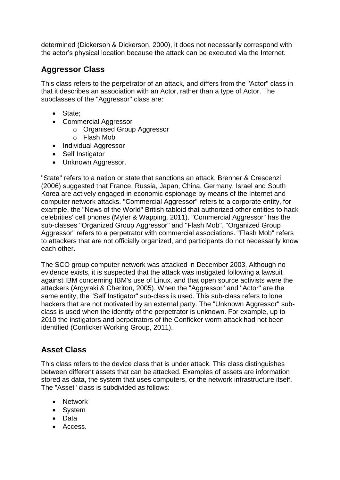determined (Dickerson & Dickerson, 2000), it does not necessarily correspond with the actor's physical location because the attack can be executed via the Internet.

## **Aggressor Class**

This class refers to the perpetrator of an attack, and differs from the "Actor" class in that it describes an association with an Actor, rather than a type of Actor. The subclasses of the "Aggressor" class are:

- State:
- Commercial Aggressor
	- o Organised Group Aggressor
	- o Flash Mob
- Individual Aggressor
- Self Instigator
- Unknown Aggressor.

"State" refers to a nation or state that sanctions an attack. Brenner & Crescenzi (2006) suggested that France, Russia, Japan, China, Germany, Israel and South Korea are actively engaged in economic espionage by means of the Internet and computer network attacks. "Commercial Aggressor" refers to a corporate entity, for example, the "News of the World" British tabloid that authorized other entities to hack celebrities' cell phones (Myler & Wapping, 2011). "Commercial Aggressor" has the sub-classes "Organized Group Aggressor" and "Flash Mob". "Organized Group Aggressor" refers to a perpetrator with commercial associations. "Flash Mob" refers to attackers that are not officially organized, and participants do not necessarily know each other.

The SCO group computer network was attacked in December 2003. Although no evidence exists, it is suspected that the attack was instigated following a lawsuit against IBM concerning IBM's use of Linux, and that open source activists were the attackers (Argyraki & Cheriton, 2005). When the "Aggressor" and "Actor" are the same entity, the "Self Instigator" sub-class is used. This sub-class refers to lone hackers that are not motivated by an external party. The "Unknown Aggressor" subclass is used when the identity of the perpetrator is unknown. For example, up to 2010 the instigators and perpetrators of the Conficker worm attack had not been identified (Conficker Working Group, 2011).

# **Asset Class**

This class refers to the device class that is under attack. This class distinguishes between different assets that can be attacked. Examples of assets are information stored as data, the system that uses computers, or the network infrastructure itself. The "Asset" class is subdivided as follows:

- Network
- System
- Data
- Access.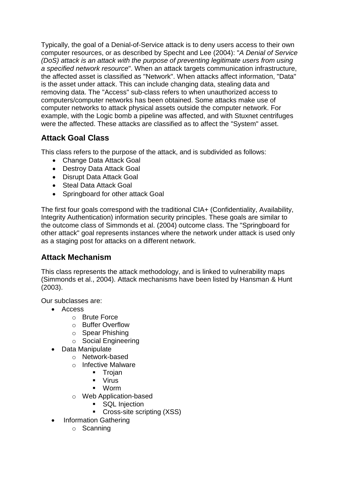Typically, the goal of a Denial-of-Service attack is to deny users access to their own computer resources, or as described by Specht and Lee (2004): "*A Denial of Service (DoS) attack is an attack with the purpose of preventing legitimate users from using a specified network resource*". When an attack targets communication infrastructure, the affected asset is classified as "Network". When attacks affect information, "Data" is the asset under attack. This can include changing data, stealing data and removing data. The "Access" sub-class refers to when unauthorized access to computers/computer networks has been obtained. Some attacks make use of computer networks to attack physical assets outside the computer network. For example, with the Logic bomb a pipeline was affected, and with Stuxnet centrifuges were the affected. These attacks are classified as to affect the "System" asset.

# **Attack Goal Class**

This class refers to the purpose of the attack, and is subdivided as follows:

- Change Data Attack Goal
- Destroy Data Attack Goal
- Disrupt Data Attack Goal
- Steal Data Attack Goal
- Springboard for other attack Goal

The first four goals correspond with the traditional CIA+ (Confidentiality, Availability, Integrity Authentication) information security principles. These goals are similar to the outcome class of Simmonds et al. (2004) outcome class. The "Springboard for other attack" goal represents instances where the network under attack is used only as a staging post for attacks on a different network.

# **Attack Mechanism**

This class represents the attack methodology, and is linked to vulnerability maps (Simmonds et al., 2004). Attack mechanisms have been listed by Hansman & Hunt (2003).

Our subclasses are:

- Access
	- o Brute Force
	- o Buffer Overflow
	- o Spear Phishing
	- o Social Engineering
- Data Manipulate
	- o Network-based
	- o Infective Malware
		- **Trojan**
		- **virus**
		- Worm
	- o Web Application-based
		- **SQL Injection**
		- **Cross-site scripting (XSS)**
- Information Gathering
	- o Scanning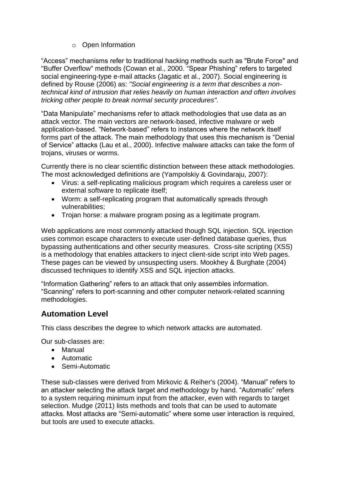#### o Open Information

"Access" mechanisms refer to traditional hacking methods such as "Brute Force" and "Buffer Overflow" methods (Cowan et al., 2000. "Spear Phishing" refers to targeted social engineering-type e-mail attacks (Jagatic et al., 2007). Social engineering is defined by Rouse (2006) as: *"Social engineering is a term that describes a nontechnical kind of intrusion that relies heavily on human interaction and often involves tricking other people to break normal security procedures"*.

"Data Manipulate" mechanisms refer to attack methodologies that use data as an attack vector. The main vectors are network-based, infective malware or web application-based. "Network-based" refers to instances where the network itself forms part of the attack. The main methodology that uses this mechanism is "Denial of Service" attacks (Lau et al., 2000). Infective malware attacks can take the form of trojans, viruses or worms.

Currently there is no clear scientific distinction between these attack methodologies. The most acknowledged definitions are (Yampolskiy & Govindaraju, 2007):

- Virus: a self-replicating malicious program which requires a careless user or external software to replicate itself;
- Worm: a self-replicating program that automatically spreads through vulnerabilities;
- Trojan horse: a malware program posing as a legitimate program.

Web applications are most commonly attacked though SQL injection. SQL injection uses common escape characters to execute user-defined database queries, thus bypassing authentications and other security measures. Cross-site scripting (XSS) is a methodology that enables attackers to inject client-side script into Web pages. These pages can be viewed by unsuspecting users. Mookhey & Burghate (2004) discussed techniques to identify XSS and SQL injection attacks.

"Information Gathering" refers to an attack that only assembles information. "Scanning" refers to port-scanning and other computer network-related scanning methodologies.

# **Automation Level**

This class describes the degree to which network attacks are automated.

Our sub-classes are:

- Manual
- Automatic
- Semi-Automatic

These sub-classes were derived from Mirkovic & Reiher's (2004). "Manual" refers to an attacker selecting the attack target and methodology by hand. "Automatic" refers to a system requiring minimum input from the attacker, even with regards to target selection. Mudge (2011) lists methods and tools that can be used to automate attacks. Most attacks are "Semi-automatic" where some user interaction is required, but tools are used to execute attacks.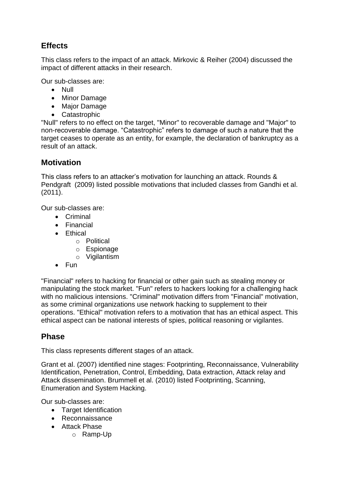# **Effects**

This class refers to the impact of an attack. Mirkovic & Reiher (2004) discussed the impact of different attacks in their research.

Our sub-classes are:

- Null
- Minor Damage
- Major Damage
- Catastrophic

"Null" refers to no effect on the target, "Minor" to recoverable damage and "Major" to non-recoverable damage. "Catastrophic" refers to damage of such a nature that the target ceases to operate as an entity, for example, the declaration of bankruptcy as a result of an attack.

## **Motivation**

This class refers to an attacker's motivation for launching an attack. Rounds & Pendgraft (2009) listed possible motivations that included classes from Gandhi et al. (2011).

Our sub-classes are:

- **Criminal**
- Financial
- Ethical
	- o Political
	- o Espionage
	- o Vigilantism
- $\bullet$  Fun

"Financial" refers to hacking for financial or other gain such as stealing money or manipulating the stock market. "Fun" refers to hackers looking for a challenging hack with no malicious intensions. "Criminal" motivation differs from "Financial" motivation, as some criminal organizations use network hacking to supplement to their operations. "Ethical" motivation refers to a motivation that has an ethical aspect. This ethical aspect can be national interests of spies, political reasoning or vigilantes.

## **Phase**

This class represents different stages of an attack.

Grant et al. (2007) identified nine stages: Footprinting, Reconnaissance, Vulnerability Identification, Penetration, Control, Embedding, Data extraction, Attack relay and Attack dissemination. Brummell et al. (2010) listed Footprinting, Scanning, Enumeration and System Hacking.

Our sub-classes are:

- Target Identification
- Reconnaissance
- Attack Phase
	- o Ramp-Up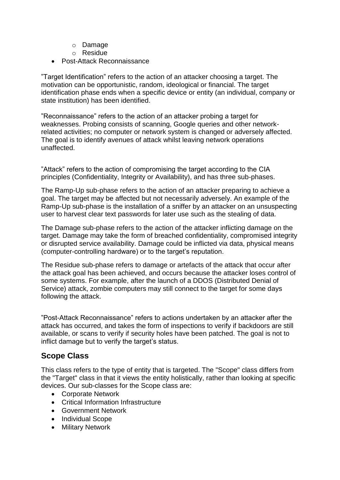- o Damage
- o Residue
- Post-Attack Reconnaissance

"Target Identification" refers to the action of an attacker choosing a target. The motivation can be opportunistic, random, ideological or financial. The target identification phase ends when a specific device or entity (an individual, company or state institution) has been identified.

"Reconnaissance" refers to the action of an attacker probing a target for weaknesses. Probing consists of scanning, Google queries and other networkrelated activities; no computer or network system is changed or adversely affected. The goal is to identify avenues of attack whilst leaving network operations unaffected.

"Attack" refers to the action of compromising the target according to the CIA principles (Confidentiality, Integrity or Availability), and has three sub-phases.

The Ramp-Up sub-phase refers to the action of an attacker preparing to achieve a goal. The target may be affected but not necessarily adversely. An example of the Ramp-Up sub-phase is the installation of a sniffer by an attacker on an unsuspecting user to harvest clear text passwords for later use such as the stealing of data.

The Damage sub-phase refers to the action of the attacker inflicting damage on the target. Damage may take the form of breached confidentiality, compromised integrity or disrupted service availability. Damage could be inflicted via data, physical means (computer-controlling hardware) or to the target's reputation.

The Residue sub-phase refers to damage or artefacts of the attack that occur after the attack goal has been achieved, and occurs because the attacker loses control of some systems. For example, after the launch of a DDOS (Distributed Denial of Service) attack, zombie computers may still connect to the target for some days following the attack.

"Post-Attack Reconnaissance" refers to actions undertaken by an attacker after the attack has occurred, and takes the form of inspections to verify if backdoors are still available, or scans to verify if security holes have been patched. The goal is not to inflict damage but to verify the target's status.

## **Scope Class**

This class refers to the type of entity that is targeted. The "Scope" class differs from the "Target" class in that it views the entity holistically, rather than looking at specific devices. Our sub-classes for the Scope class are:

- Corporate Network
- Critical Information Infrastructure
- **Government Network**
- Individual Scope
- Military Network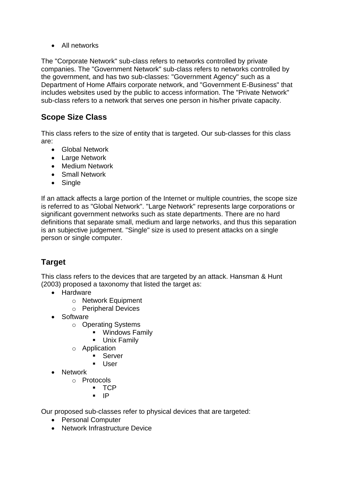All networks

The "Corporate Network" sub-class refers to networks controlled by private companies. The "Government Network" sub-class refers to networks controlled by the government, and has two sub-classes: "Government Agency" such as a Department of Home Affairs corporate network, and "Government E-Business" that includes websites used by the public to access information. The "Private Network" sub-class refers to a network that serves one person in his/her private capacity.

# **Scope Size Class**

This class refers to the size of entity that is targeted. Our sub-classes for this class are:

- Global Network
- Large Network
- **•** Medium Network
- Small Network
- Single

If an attack affects a large portion of the Internet or multiple countries, the scope size is referred to as "Global Network". "Large Network" represents large corporations or significant government networks such as state departments. There are no hard definitions that separate small, medium and large networks, and thus this separation is an subjective judgement. "Single" size is used to present attacks on a single person or single computer.

# **Target**

This class refers to the devices that are targeted by an attack. Hansman & Hunt (2003) proposed a taxonomy that listed the target as:

- **•** Hardware
	- o Network Equipment
	- o Peripheral Devices
- Software
	- o Operating Systems
		- **Windows Family**
		- **Unix Family**
	- o Application
		- **Server**
		- User
- **•** Network
	- o Protocols
		- $TCP$
		- $IP$

Our proposed sub-classes refer to physical devices that are targeted:

- Personal Computer
- Network Infrastructure Device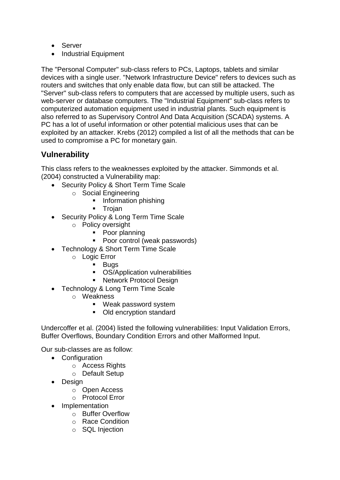- Server
- Industrial Equipment

The "Personal Computer" sub-class refers to PCs, Laptops, tablets and similar devices with a single user. "Network Infrastructure Device" refers to devices such as routers and switches that only enable data flow, but can still be attacked. The "Server" sub-class refers to computers that are accessed by multiple users, such as web-server or database computers. The "Industrial Equipment" sub-class refers to computerized automation equipment used in industrial plants. Such equipment is also referred to as Supervisory Control And Data Acquisition (SCADA) systems. A PC has a lot of useful information or other potential malicious uses that can be exploited by an attacker. Krebs (2012) compiled a list of all the methods that can be used to compromise a PC for monetary gain.

# **Vulnerability**

This class refers to the weaknesses exploited by the attacker. Simmonds et al. (2004) constructed a Vulnerability map:

- Security Policy & Short Term Time Scale
	- o Social Engineering
		- Information phishing
		- **Trojan**
- Security Policy & Long Term Time Scale
	- o Policy oversight
		- Poor planning
		- Poor control (weak passwords)
- Technology & Short Term Time Scale
	- o Logic Error
		- **Bugs**
		- OS/Application vulnerabilities
		- **Network Protocol Design**
- Technology & Long Term Time Scale
	- o Weakness
		- Weak password system
		- Old encryption standard

Undercoffer et al. (2004) listed the following vulnerabilities: Input Validation Errors, Buffer Overflows, Boundary Condition Errors and other Malformed Input.

Our sub-classes are as follow:

- Configuration
	- o Access Rights
	- o Default Setup
- Design
	- o Open Access
	- o Protocol Error
- Implementation
	- o Buffer Overflow
	- o Race Condition
	- o SQL Injection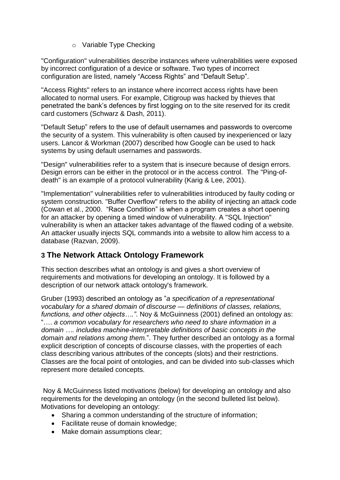o Variable Type Checking

"Configuration" vulnerabilities describe instances where vulnerabilities were exposed by incorrect configuration of a device or software. Two types of incorrect configuration are listed, namely "Access Rights" and "Default Setup".

"Access Rights" refers to an instance where incorrect access rights have been allocated to normal users. For example, Citigroup was hacked by thieves that penetrated the bank's defences by first logging on to the site reserved for its credit card customers (Schwarz & Dash, 2011).

"Default Setup" refers to the use of default usernames and passwords to overcome the security of a system. This vulnerability is often caused by inexperienced or lazy users. Lancor & Workman (2007) described how Google can be used to hack systems by using default usernames and passwords.

"Design" vulnerabilities refer to a system that is insecure because of design errors. Design errors can be either in the protocol or in the access control. The "Ping-ofdeath" is an example of a protocol vulnerability (Karig & Lee, 2001).

"Implementation" vulnerabilities refer to vulnerabilities introduced by faulty coding or system construction. "Buffer Overflow" refers to the ability of injecting an attack code (Cowan et al., 2000. "Race Condition" is when a program creates a short opening for an attacker by opening a timed window of vulnerability. A "SQL Injection" vulnerability is when an attacker takes advantage of the flawed coding of a website. An attacker usually injects SQL commands into a website to allow him access to a database (Razvan, 2009).

# **3 The Network Attack Ontology Framework**

This section describes what an ontology is and gives a short overview of requirements and motivations for developing an ontology. It is followed by a description of our network attack ontology's framework.

Gruber (1993) described an ontology as "*a specification of a representational vocabulary for a shared domain of discourse — definitions of classes, relations, functions, and other objects…."*. Noy & McGuinness (2001) defined an ontology as: "…. *a common vocabulary for researchers who need to share information in a domain …. includes machine-interpretable definitions of basic concepts in the domain and relations among them.*". They further described an ontology as a formal explicit description of concepts of discourse classes, with the properties of each class describing various attributes of the concepts (slots) and their restrictions. Classes are the focal point of ontologies, and can be divided into sub-classes which represent more detailed concepts.

Noy & McGuinness listed motivations (below) for developing an ontology and also requirements for the developing an ontology (in the second bulleted list below). Motivations for developing an ontology:

- Sharing a common understanding of the structure of information:
- Facilitate reuse of domain knowledge;
- Make domain assumptions clear: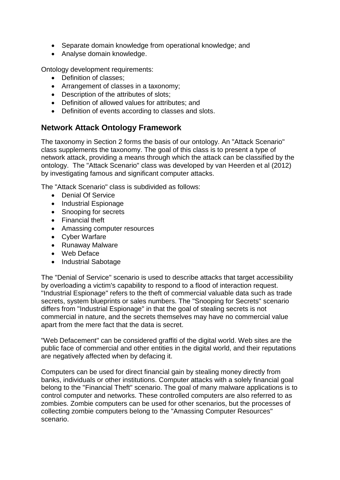- Separate domain knowledge from operational knowledge; and
- Analyse domain knowledge.

Ontology development requirements:

- Definition of classes;
- Arrangement of classes in a taxonomy;
- Description of the attributes of slots;
- Definition of allowed values for attributes; and
- Definition of events according to classes and slots.

### **Network Attack Ontology Framework**

The taxonomy in Section 2 forms the basis of our ontology. An "Attack Scenario" class supplements the taxonomy. The goal of this class is to present a type of network attack, providing a means through which the attack can be classified by the ontology. The "Attack Scenario" class was developed by van Heerden et al (2012) by investigating famous and significant computer attacks.

The "Attack Scenario" class is subdivided as follows:

- Denial Of Service
- Industrial Espionage
- Snooping for secrets
- Financial theft
- Amassing computer resources
- Cyber Warfare
- Runaway Malware
- Web Deface
- Industrial Sabotage

The "Denial of Service" scenario is used to describe attacks that target accessibility by overloading a victim's capability to respond to a flood of interaction request. "Industrial Espionage" refers to the theft of commercial valuable data such as trade secrets, system blueprints or sales numbers. The "Snooping for Secrets" scenario differs from "Industrial Espionage" in that the goal of stealing secrets is not commercial in nature, and the secrets themselves may have no commercial value apart from the mere fact that the data is secret.

"Web Defacement" can be considered graffiti of the digital world. Web sites are the public face of commercial and other entities in the digital world, and their reputations are negatively affected when by defacing it.

Computers can be used for direct financial gain by stealing money directly from banks, individuals or other institutions. Computer attacks with a solely financial goal belong to the "Financial Theft" scenario. The goal of many malware applications is to control computer and networks. These controlled computers are also referred to as zombies. Zombie computers can be used for other scenarios, but the processes of collecting zombie computers belong to the "Amassing Computer Resources" scenario.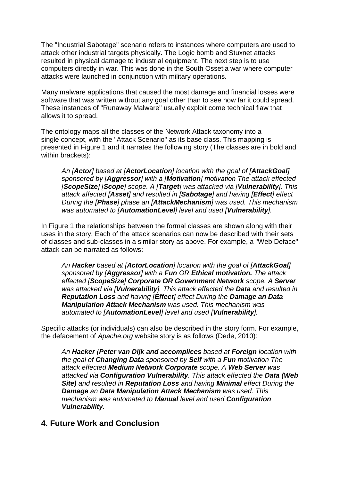The "Industrial Sabotage" scenario refers to instances where computers are used to attack other industrial targets physically. The Logic bomb and Stuxnet attacks resulted in physical damage to industrial equipment. The next step is to use computers directly in war. This was done in the South Ossetia war where computer attacks were launched in conjunction with military operations.

Many malware applications that caused the most damage and financial losses were software that was written without any goal other than to see how far it could spread. These instances of "Runaway Malware" usually exploit come technical flaw that allows it to spread.

The ontology maps all the classes of the Network Attack taxonomy into a single concept, with the "Attack Scenario" as its base class. This mapping is presented in Figure 1 and it narrates the following story (The classes are in bold and within brackets):

*An [Actor] based at [ActorLocation] location with the goal of [AttackGoal] sponsored by [Aggressor] with a [Motivation] motivation The attack effected [ScopeSize] [Scope] scope. A [Target] was attacked via [Vulnerability]. This attack affected [Asset] and resulted in [Sabotage] and having [Effect] effect During the [Phase] phase an [AttackMechanism] was used. This mechanism was automated to [AutomationLevel] level and used [Vulnerability].* 

In Figure 1 the relationships between the formal classes are shown along with their uses in the story. Each of the attack scenarios can now be described with their sets of classes and sub-classes in a similar story as above. For example, a "Web Deface" attack can be narrated as follows:

*An Hacker based at [ActorLocation] location with the goal of [AttackGoal] sponsored by [Aggressor] with a Fun OR Ethical motivation. The attack effected [ScopeSize] Corporate OR Government Network scope. A Server was attacked via [Vulnerability]. This attack effected the Data and resulted in Reputation Loss and having [Effect] effect During the Damage an Data Manipulation Attack Mechanism was used. This mechanism was automated to [AutomationLevel] level and used [Vulnerability].*

Specific attacks (or individuals) can also be described in the story form. For example, the defacement of *Apache.org* website story is as follows (Dede, 2010):

*An Hacker (Peter van Dijk and accomplices based at Foreign location with the goal of Changing Data sponsored by Self with a Fun motivation The attack effected Medium Network Corporate scope. A Web Server was attacked via Configuration Vulnerability. This attack effected the Data (Web Site) and resulted in Reputation Loss and having Minimal effect During the Damage an Data Manipulation Attack Mechanism was used. This mechanism was automated to Manual level and used Configuration Vulnerability.*

### **4. Future Work and Conclusion**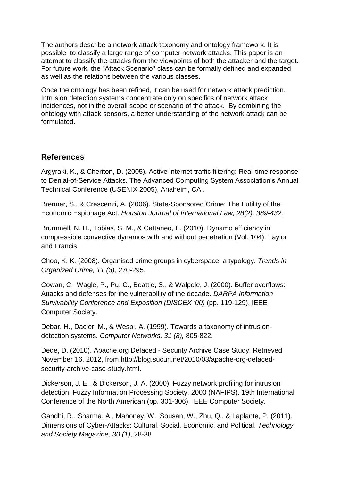The authors describe a network attack taxonomy and ontology framework. It is possible to classify a large range of computer network attacks. This paper is an attempt to classify the attacks from the viewpoints of both the attacker and the target. For future work, the "Attack Scenario" class can be formally defined and expanded, as well as the relations between the various classes.

Once the ontology has been refined, it can be used for network attack prediction. Intrusion detection systems concentrate only on specifics of network attack incidences, not in the overall scope or scenario of the attack. By combining the ontology with attack sensors, a better understanding of the network attack can be formulated.

## **References**

Argyraki, K., & Cheriton, D. (2005). Active internet traffic filtering: Real-time response to Denial-of-Service Attacks. The Advanced Computing System Association's Annual Technical Conference (USENIX 2005), Anaheim, CA .

Brenner, S., & Crescenzi, A. (2006). State-Sponsored Crime: The Futility of the Economic Espionage Act. *Houston Journal of International Law, 28(2), 389-432.*

Brummell, N. H., Tobias, S. M., & Cattaneo, F. (2010). Dynamo efficiency in compressible convective dynamos with and without penetration (Vol. 104). Taylor and Francis.

Choo, K. K. (2008). Organised crime groups in cyberspace: a typology. *Trends in Organized Crime, 11 (3),* 270-295.

Cowan, C., Wagle, P., Pu, C., Beattie, S., & Walpole, J. (2000). Buffer overflows: Attacks and defenses for the vulnerability of the decade. *DARPA Information Survivability Conference and Exposition (DISCEX '00)* (pp. 119-129). IEEE Computer Society.

Debar, H., Dacier, M., & Wespi, A. (1999). Towards a taxonomy of intrusiondetection systems. *Computer Networks, 31 (8),* 805-822.

Dede, D. (2010). Apache.org Defaced - Security Archive Case Study. Retrieved November 16, 2012, from http://blog.sucuri.net/2010/03/apache-org-defacedsecurity-archive-case-study.html.

Dickerson, J. E., & Dickerson, J. A. (2000). Fuzzy network profiling for intrusion detection. Fuzzy Information Processing Society, 2000 (NAFIPS). 19th International Conference of the North American (pp. 301-306). IEEE Computer Society.

Gandhi, R., Sharma, A., Mahoney, W., Sousan, W., Zhu, Q., & Laplante, P. (2011). Dimensions of Cyber-Attacks: Cultural, Social, Economic, and Political. *Technology and Society Magazine, 30 (1)*, 28-38.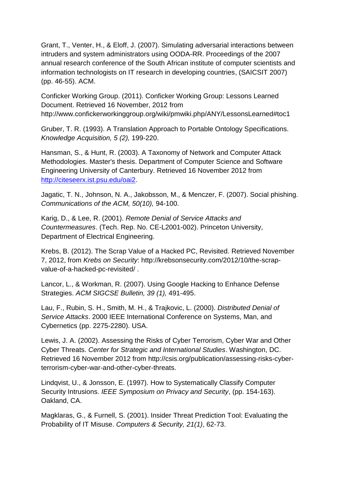Grant, T., Venter, H., & Eloff, J. (2007). Simulating adversarial interactions between intruders and system administrators using OODA-RR. Proceedings of the 2007 annual research conference of the South African institute of computer scientists and information technologists on IT research in developing countries, (SAICSIT 2007) (pp. 46-55). ACM.

Conficker Working Group. (2011). Conficker Working Group: Lessons Learned Document. Retrieved 16 November, 2012 from http://www.confickerworkinggroup.org/wiki/pmwiki.php/ANY/LessonsLearned#toc1

Gruber, T. R. (1993). A Translation Approach to Portable Ontology Specifications. *Knowledge Acquisition, 5 (2),* 199-220.

Hansman, S., & Hunt, R. (2003). A Taxonomy of Network and Computer Attack Methodologies. Master's thesis. Department of Computer Science and Software Engineering University of Canterbury. Retrieved 16 November 2012 from [http://citeseerx.ist.psu.edu/oai2.](http://citeseerx.ist.psu.edu/oai2)

Jagatic, T. N., Johnson, N. A., Jakobsson, M., & Menczer, F. (2007). Social phishing. *Communications of the ACM, 50(10),* 94-100.

Karig, D., & Lee, R. (2001). *Remote Denial of Service Attacks and Countermeasures*. (Tech. Rep. No. CE-L2001-002). Princeton University, Department of Electrical Engineering.

Krebs, B. (2012). The Scrap Value of a Hacked PC, Revisited. Retrieved November 7, 2012, from *Krebs on Security*: http://krebsonsecurity.com/2012/10/the-scrapvalue-of-a-hacked-pc-revisited/ .

Lancor, L., & Workman, R. (2007). Using Google Hacking to Enhance Defense Strategies. *ACM SIGCSE Bulletin, 39 (1),* 491-495.

Lau, F., Rubin, S. H., Smith, M. H., & Trajkovic, L. (2000). *Distributed Denial of Service Attacks*. 2000 IEEE International Conference on Systems, Man, and Cybernetics (pp. 2275-2280). USA.

Lewis, J. A. (2002). Assessing the Risks of Cyber Terrorism, Cyber War and Other Cyber Threats. *Center for Strategic and International Studies*. Washington, DC. Retrieved 16 November 2012 from http://csis.org/publication/assessing-risks-cyberterrorism-cyber-war-and-other-cyber-threats.

Lindqvist, U., & Jonsson, E. (1997). How to Systematically Classify Computer Security Intrusions. *IEEE Symposium on Privacy and Security*, (pp. 154-163). Oakland, CA.

Magklaras, G., & Furnell, S. (2001). Insider Threat Prediction Tool: Evaluating the Probability of IT Misuse. *Computers & Security, 21(1)*, 62-73.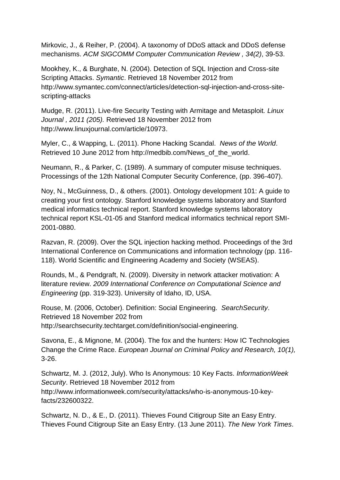Mirkovic, J., & Reiher, P. (2004). A taxonomy of DDoS attack and DDoS defense mechanisms. *ACM SIGCOMM Computer Communication Review , 34(2)*, 39-53.

Mookhey, K., & Burghate, N. (2004). Detection of SQL Injection and Cross-site Scripting Attacks. *Symantic*. Retrieved 18 November 2012 from http://www.symantec.com/connect/articles/detection-sql-injection-and-cross-sitescripting-attacks

Mudge, R. (2011). Live-fire Security Testing with Armitage and Metasploit*. Linux Journal , 2011 (205).* Retrieved 18 November 2012 from http://www.linuxjournal.com/article/10973.

Myler, C., & Wapping, L. (2011). Phone Hacking Scandal. *News of the World*. Retrieved 10 June 2012 from http://medbib.com/News\_of\_the\_world.

Neumann, R., & Parker, C. (1989). A summary of computer misuse techniques. Processings of the 12th National Computer Security Conference, (pp. 396-407).

Noy, N., McGuinness, D., & others. (2001). Ontology development 101: A guide to creating your first ontology. Stanford knowledge systems laboratory and Stanford medical informatics technical report. Stanford knowledge systems laboratory technical report KSL-01-05 and Stanford medical informatics technical report SMI-2001-0880.

Razvan, R. (2009). Over the SQL injection hacking method. Proceedings of the 3rd International Conference on Communications and information technology (pp. 116- 118). World Scientific and Engineering Academy and Society (WSEAS).

Rounds, M., & Pendgraft, N. (2009). Diversity in network attacker motivation: A literature review. *2009 International Conference on Computational Science and Engineering* (pp. 319-323). University of Idaho, ID, USA.

Rouse, M. (2006, October). Definition: Social Engineering. *SearchSecurity*. Retrieved 18 November 202 from http://searchsecurity.techtarget.com/definition/social-engineering.

Savona, E., & Mignone, M. (2004). The fox and the hunters: How IC Technologies Change the Crime Race. *European Journal on Criminal Policy and Research, 10(1),* 3-26.

Schwartz, M. J. (2012, July). Who Is Anonymous: 10 Key Facts. *InformationWeek Security*. Retrieved 18 November 2012 from http://www.informationweek.com/security/attacks/who-is-anonymous-10-keyfacts/232600322.

Schwartz, N. D., & E., D. (2011). Thieves Found Citigroup Site an Easy Entry. Thieves Found Citigroup Site an Easy Entry. (13 June 2011). *The New York Times*.